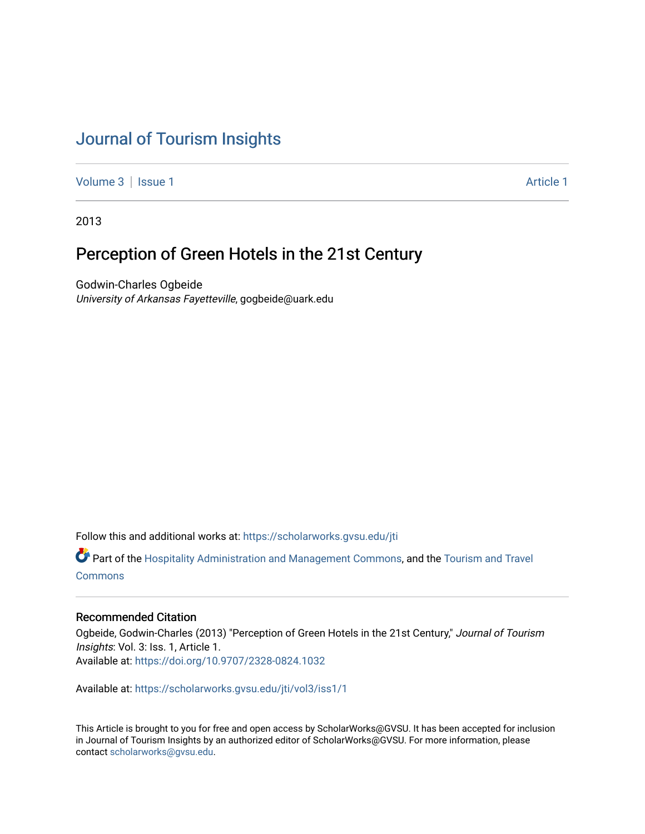# [Journal of Tourism Insights](https://scholarworks.gvsu.edu/jti)

[Volume 3](https://scholarworks.gvsu.edu/jti/vol3) | [Issue 1](https://scholarworks.gvsu.edu/jti/vol3/iss1) Article 1

2013

## Perception of Green Hotels in the 21st Century

Godwin-Charles Ogbeide University of Arkansas Fayetteville, gogbeide@uark.edu

Follow this and additional works at: [https://scholarworks.gvsu.edu/jti](https://scholarworks.gvsu.edu/jti?utm_source=scholarworks.gvsu.edu%2Fjti%2Fvol3%2Fiss1%2F1&utm_medium=PDF&utm_campaign=PDFCoverPages) 

Part of the [Hospitality Administration and Management Commons,](http://network.bepress.com/hgg/discipline/632?utm_source=scholarworks.gvsu.edu%2Fjti%2Fvol3%2Fiss1%2F1&utm_medium=PDF&utm_campaign=PDFCoverPages) and the [Tourism and Travel](http://network.bepress.com/hgg/discipline/1082?utm_source=scholarworks.gvsu.edu%2Fjti%2Fvol3%2Fiss1%2F1&utm_medium=PDF&utm_campaign=PDFCoverPages) **[Commons](http://network.bepress.com/hgg/discipline/1082?utm_source=scholarworks.gvsu.edu%2Fjti%2Fvol3%2Fiss1%2F1&utm_medium=PDF&utm_campaign=PDFCoverPages)** 

#### Recommended Citation

Ogbeide, Godwin-Charles (2013) "Perception of Green Hotels in the 21st Century," Journal of Tourism Insights: Vol. 3: Iss. 1, Article 1. Available at:<https://doi.org/10.9707/2328-0824.1032>

Available at: [https://scholarworks.gvsu.edu/jti/vol3/iss1/1](https://scholarworks.gvsu.edu/jti/vol3/iss1/1?utm_source=scholarworks.gvsu.edu%2Fjti%2Fvol3%2Fiss1%2F1&utm_medium=PDF&utm_campaign=PDFCoverPages)

This Article is brought to you for free and open access by ScholarWorks@GVSU. It has been accepted for inclusion in Journal of Tourism Insights by an authorized editor of ScholarWorks@GVSU. For more information, please contact [scholarworks@gvsu.edu.](mailto:scholarworks@gvsu.edu)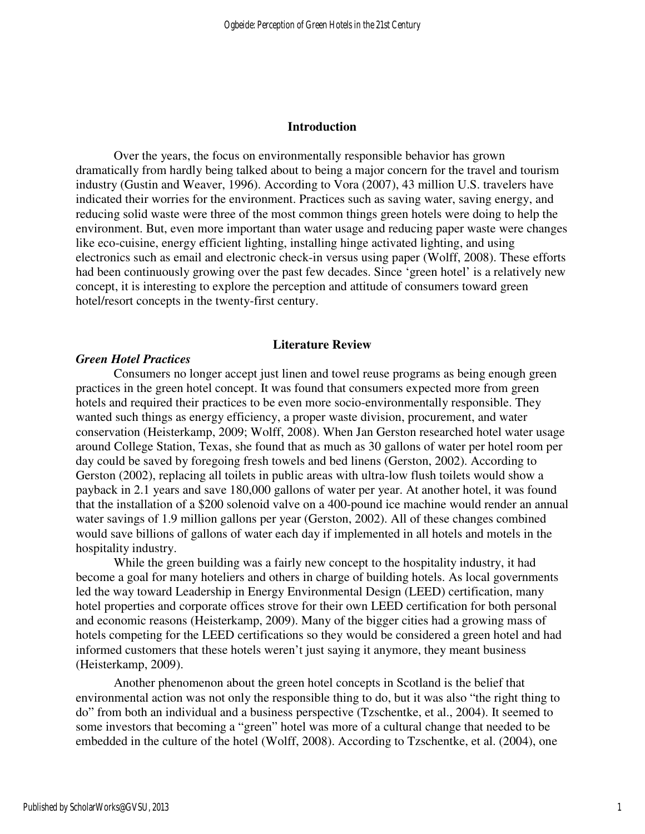#### **Introduction**

Over the years, the focus on environmentally responsible behavior has grown dramatically from hardly being talked about to being a major concern for the travel and tourism industry (Gustin and Weaver, 1996). According to Vora (2007), 43 million U.S. travelers have indicated their worries for the environment. Practices such as saving water, saving energy, and reducing solid waste were three of the most common things green hotels were doing to help the environment. But, even more important than water usage and reducing paper waste were changes like eco-cuisine, energy efficient lighting, installing hinge activated lighting, and using electronics such as email and electronic check-in versus using paper (Wolff, 2008). These efforts had been continuously growing over the past few decades. Since 'green hotel' is a relatively new concept, it is interesting to explore the perception and attitude of consumers toward green hotel/resort concepts in the twenty-first century.

#### **Literature Review**

#### *Green Hotel Practices*

Consumers no longer accept just linen and towel reuse programs as being enough green practices in the green hotel concept. It was found that consumers expected more from green hotels and required their practices to be even more socio-environmentally responsible. They wanted such things as energy efficiency, a proper waste division, procurement, and water conservation (Heisterkamp, 2009; Wolff, 2008). When Jan Gerston researched hotel water usage around College Station, Texas, she found that as much as 30 gallons of water per hotel room per day could be saved by foregoing fresh towels and bed linens (Gerston, 2002). According to Gerston (2002), replacing all toilets in public areas with ultra-low flush toilets would show a payback in 2.1 years and save 180,000 gallons of water per year. At another hotel, it was found that the installation of a \$200 solenoid valve on a 400-pound ice machine would render an annual water savings of 1.9 million gallons per year (Gerston, 2002). All of these changes combined would save billions of gallons of water each day if implemented in all hotels and motels in the hospitality industry.

While the green building was a fairly new concept to the hospitality industry, it had become a goal for many hoteliers and others in charge of building hotels. As local governments led the way toward Leadership in Energy Environmental Design (LEED) certification, many hotel properties and corporate offices strove for their own LEED certification for both personal and economic reasons (Heisterkamp, 2009). Many of the bigger cities had a growing mass of hotels competing for the LEED certifications so they would be considered a green hotel and had informed customers that these hotels weren't just saying it anymore, they meant business (Heisterkamp, 2009).

Another phenomenon about the green hotel concepts in Scotland is the belief that environmental action was not only the responsible thing to do, but it was also "the right thing to do" from both an individual and a business perspective (Tzschentke, et al., 2004). It seemed to some investors that becoming a "green" hotel was more of a cultural change that needed to be embedded in the culture of the hotel (Wolff, 2008). According to Tzschentke, et al. (2004), one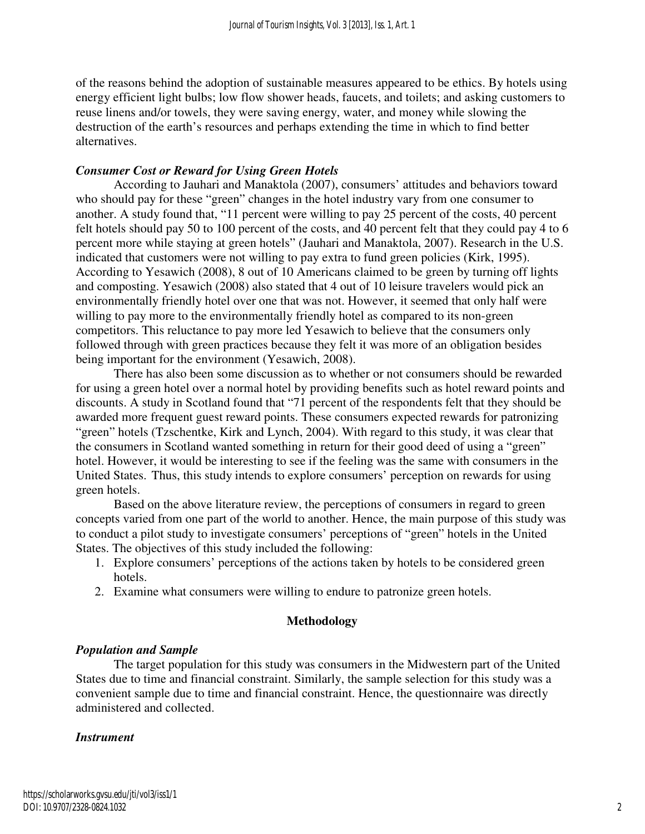of the reasons behind the adoption of sustainable measures appeared to be ethics. By hotels using energy efficient light bulbs; low flow shower heads, faucets, and toilets; and asking customers to reuse linens and/or towels, they were saving energy, water, and money while slowing the destruction of the earth's resources and perhaps extending the time in which to find better alternatives.

## *Consumer Cost or Reward for Using Green Hotels*

According to Jauhari and Manaktola (2007), consumers' attitudes and behaviors toward who should pay for these "green" changes in the hotel industry vary from one consumer to another. A study found that, "11 percent were willing to pay 25 percent of the costs, 40 percent felt hotels should pay 50 to 100 percent of the costs, and 40 percent felt that they could pay 4 to 6 percent more while staying at green hotels" (Jauhari and Manaktola, 2007). Research in the U.S. indicated that customers were not willing to pay extra to fund green policies (Kirk, 1995). According to Yesawich (2008), 8 out of 10 Americans claimed to be green by turning off lights and composting. Yesawich (2008) also stated that 4 out of 10 leisure travelers would pick an environmentally friendly hotel over one that was not. However, it seemed that only half were willing to pay more to the environmentally friendly hotel as compared to its non-green competitors. This reluctance to pay more led Yesawich to believe that the consumers only followed through with green practices because they felt it was more of an obligation besides being important for the environment (Yesawich, 2008).

There has also been some discussion as to whether or not consumers should be rewarded for using a green hotel over a normal hotel by providing benefits such as hotel reward points and discounts. A study in Scotland found that "71 percent of the respondents felt that they should be awarded more frequent guest reward points. These consumers expected rewards for patronizing "green" hotels (Tzschentke, Kirk and Lynch, 2004). With regard to this study, it was clear that the consumers in Scotland wanted something in return for their good deed of using a "green" hotel. However, it would be interesting to see if the feeling was the same with consumers in the United States. Thus, this study intends to explore consumers' perception on rewards for using green hotels.

Based on the above literature review, the perceptions of consumers in regard to green concepts varied from one part of the world to another. Hence, the main purpose of this study was to conduct a pilot study to investigate consumers' perceptions of "green" hotels in the United States. The objectives of this study included the following:

- 1. Explore consumers' perceptions of the actions taken by hotels to be considered green hotels.
- 2. Examine what consumers were willing to endure to patronize green hotels.

### **Methodology**

## *Population and Sample*

 The target population for this study was consumers in the Midwestern part of the United States due to time and financial constraint. Similarly, the sample selection for this study was a convenient sample due to time and financial constraint. Hence, the questionnaire was directly administered and collected.

### *Instrument*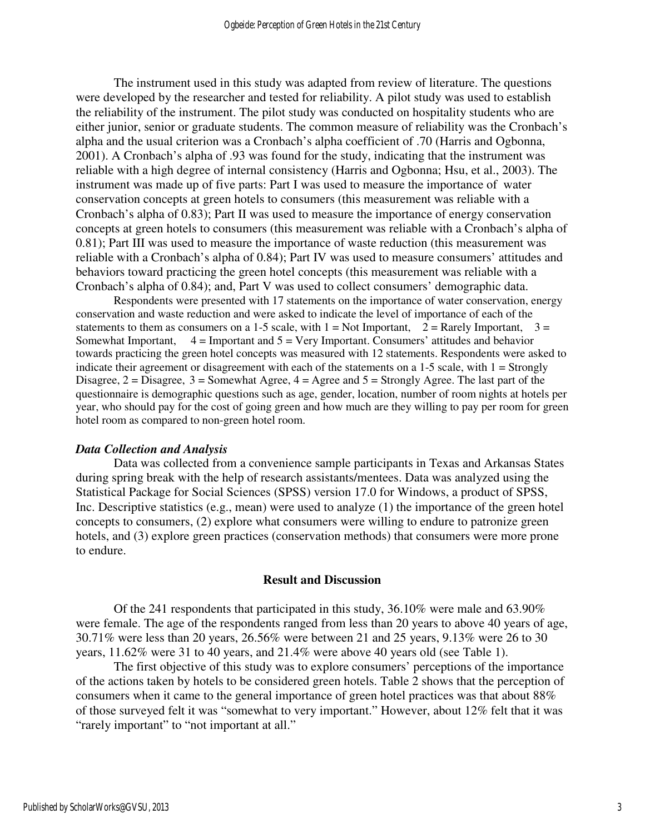The instrument used in this study was adapted from review of literature. The questions were developed by the researcher and tested for reliability. A pilot study was used to establish the reliability of the instrument. The pilot study was conducted on hospitality students who are either junior, senior or graduate students. The common measure of reliability was the Cronbach's alpha and the usual criterion was a Cronbach's alpha coefficient of .70 (Harris and Ogbonna, 2001). A Cronbach's alpha of .93 was found for the study, indicating that the instrument was reliable with a high degree of internal consistency (Harris and Ogbonna; Hsu, et al., 2003). The instrument was made up of five parts: Part I was used to measure the importance of water conservation concepts at green hotels to consumers (this measurement was reliable with a Cronbach's alpha of 0.83); Part II was used to measure the importance of energy conservation concepts at green hotels to consumers (this measurement was reliable with a Cronbach's alpha of 0.81); Part III was used to measure the importance of waste reduction (this measurement was reliable with a Cronbach's alpha of 0.84); Part IV was used to measure consumers' attitudes and behaviors toward practicing the green hotel concepts (this measurement was reliable with a Cronbach's alpha of 0.84); and, Part V was used to collect consumers' demographic data.

Respondents were presented with 17 statements on the importance of water conservation, energy conservation and waste reduction and were asked to indicate the level of importance of each of the statements to them as consumers on a 1-5 scale, with  $1 = Not$  Important,  $2 =$  Rarely Important,  $3 =$ Somewhat Important,  $4 =$  Important and  $5 =$  Very Important. Consumers' attitudes and behavior towards practicing the green hotel concepts was measured with 12 statements. Respondents were asked to indicate their agreement or disagreement with each of the statements on a  $1-5$  scale, with  $1 =$  Strongly Disagree,  $2 = Disagree$ ,  $3 = Somewhat$  Agree,  $4 = Agree$  and  $5 = Strongly$  Agree. The last part of the questionnaire is demographic questions such as age, gender, location, number of room nights at hotels per year, who should pay for the cost of going green and how much are they willing to pay per room for green hotel room as compared to non-green hotel room.

#### *Data Collection and Analysis*

Data was collected from a convenience sample participants in Texas and Arkansas States during spring break with the help of research assistants/mentees. Data was analyzed using the Statistical Package for Social Sciences (SPSS) version 17.0 for Windows, a product of SPSS, Inc. Descriptive statistics (e.g., mean) were used to analyze (1) the importance of the green hotel concepts to consumers, (2) explore what consumers were willing to endure to patronize green hotels, and (3) explore green practices (conservation methods) that consumers were more prone to endure.

#### **Result and Discussion**

 Of the 241 respondents that participated in this study, 36.10% were male and 63.90% were female. The age of the respondents ranged from less than 20 years to above 40 years of age, 30.71% were less than 20 years, 26.56% were between 21 and 25 years, 9.13% were 26 to 30 years, 11.62% were 31 to 40 years, and 21.4% were above 40 years old (see Table 1).

The first objective of this study was to explore consumers' perceptions of the importance of the actions taken by hotels to be considered green hotels. Table 2 shows that the perception of consumers when it came to the general importance of green hotel practices was that about 88% of those surveyed felt it was "somewhat to very important." However, about 12% felt that it was "rarely important" to "not important at all."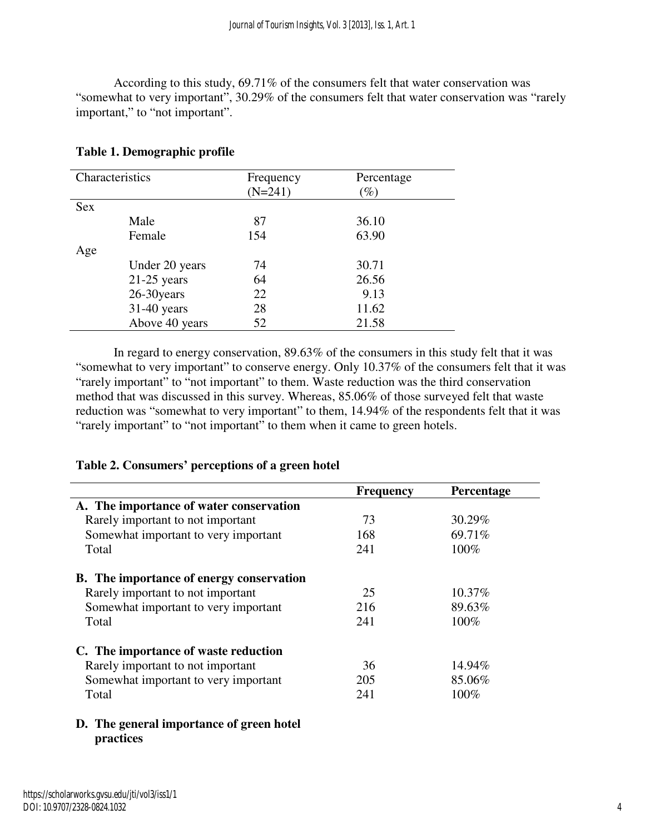According to this study, 69.71% of the consumers felt that water conservation was "somewhat to very important", 30.29% of the consumers felt that water conservation was "rarely important," to "not important".

| Characteristics |                | Frequency | Percentage      |
|-----------------|----------------|-----------|-----------------|
|                 |                | $(N=241)$ | $\mathscr{D}_o$ |
| Sex             |                |           |                 |
|                 | Male           | 87        | 36.10           |
|                 | Female         | 154       | 63.90           |
| Age             |                |           |                 |
|                 | Under 20 years | 74        | 30.71           |
|                 | $21-25$ years  | 64        | 26.56           |
|                 | 26-30 years    | 22        | 9.13            |
|                 | $31-40$ years  | 28        | 11.62           |
|                 | Above 40 years | 52        | 21.58           |

## **Table 1. Demographic profile**

In regard to energy conservation, 89.63% of the consumers in this study felt that it was "somewhat to very important" to conserve energy. Only 10.37% of the consumers felt that it was "rarely important" to "not important" to them. Waste reduction was the third conservation method that was discussed in this survey. Whereas, 85.06% of those surveyed felt that waste reduction was "somewhat to very important" to them, 14.94% of the respondents felt that it was "rarely important" to "not important" to them when it came to green hotels.

|                                                 | <b>Frequency</b> | Percentage |
|-------------------------------------------------|------------------|------------|
| A. The importance of water conservation         |                  |            |
| Rarely important to not important               | 73               | 30.29%     |
| Somewhat important to very important            | 168              | 69.71%     |
| Total                                           | 241              | $100\%$    |
| <b>B.</b> The importance of energy conservation |                  |            |
| Rarely important to not important               | 25               | 10.37%     |
| Somewhat important to very important            | 216              | 89.63%     |
| Total                                           | 241              | $100\%$    |
| C. The importance of waste reduction            |                  |            |
| Rarely important to not important               | 36               | 14.94%     |
| Somewhat important to very important            | 205              | 85.06%     |
| Total                                           | 241              | 100%       |
| The general importance of green hotel           |                  |            |

### **Table 2. Consumers' perceptions of a green hotel**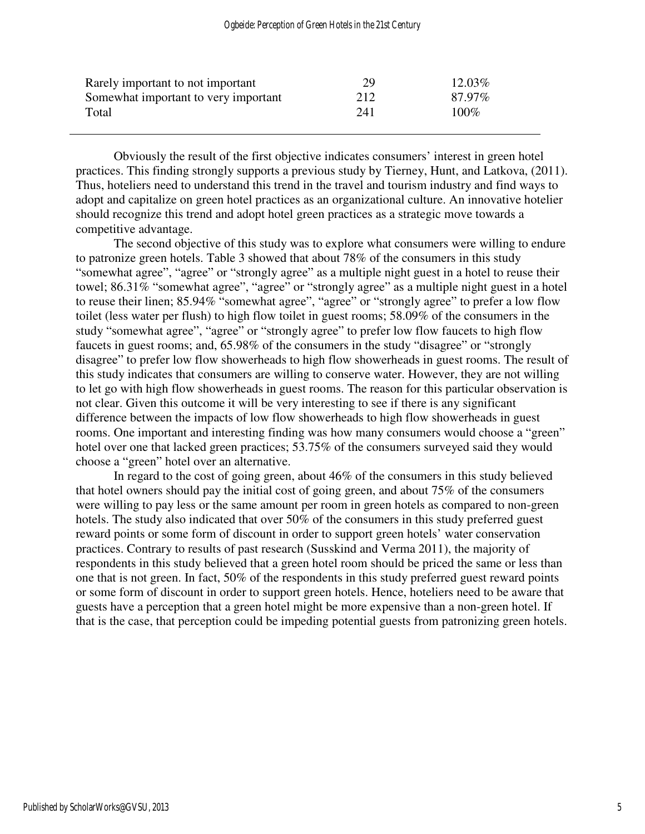| Rarely important to not important    | 29  | 12.03%  |
|--------------------------------------|-----|---------|
| Somewhat important to very important | 212 | 87.97%  |
| Total                                | 241 | $100\%$ |
|                                      |     |         |

Obviously the result of the first objective indicates consumers' interest in green hotel practices. This finding strongly supports a previous study by Tierney, Hunt, and Latkova, (2011). Thus, hoteliers need to understand this trend in the travel and tourism industry and find ways to adopt and capitalize on green hotel practices as an organizational culture. An innovative hotelier should recognize this trend and adopt hotel green practices as a strategic move towards a competitive advantage.

The second objective of this study was to explore what consumers were willing to endure to patronize green hotels. Table 3 showed that about 78% of the consumers in this study "somewhat agree", "agree" or "strongly agree" as a multiple night guest in a hotel to reuse their towel; 86.31% "somewhat agree", "agree" or "strongly agree" as a multiple night guest in a hotel to reuse their linen; 85.94% "somewhat agree", "agree" or "strongly agree" to prefer a low flow toilet (less water per flush) to high flow toilet in guest rooms; 58.09% of the consumers in the study "somewhat agree", "agree" or "strongly agree" to prefer low flow faucets to high flow faucets in guest rooms; and, 65.98% of the consumers in the study "disagree" or "strongly disagree" to prefer low flow showerheads to high flow showerheads in guest rooms. The result of this study indicates that consumers are willing to conserve water. However, they are not willing to let go with high flow showerheads in guest rooms. The reason for this particular observation is not clear. Given this outcome it will be very interesting to see if there is any significant difference between the impacts of low flow showerheads to high flow showerheads in guest rooms. One important and interesting finding was how many consumers would choose a "green" hotel over one that lacked green practices; 53.75% of the consumers surveyed said they would choose a "green" hotel over an alternative.

In regard to the cost of going green, about 46% of the consumers in this study believed that hotel owners should pay the initial cost of going green, and about 75% of the consumers were willing to pay less or the same amount per room in green hotels as compared to non-green hotels. The study also indicated that over 50% of the consumers in this study preferred guest reward points or some form of discount in order to support green hotels' water conservation practices. Contrary to results of past research (Susskind and Verma 2011), the majority of respondents in this study believed that a green hotel room should be priced the same or less than one that is not green. In fact, 50% of the respondents in this study preferred guest reward points or some form of discount in order to support green hotels. Hence, hoteliers need to be aware that guests have a perception that a green hotel might be more expensive than a non-green hotel. If that is the case, that perception could be impeding potential guests from patronizing green hotels.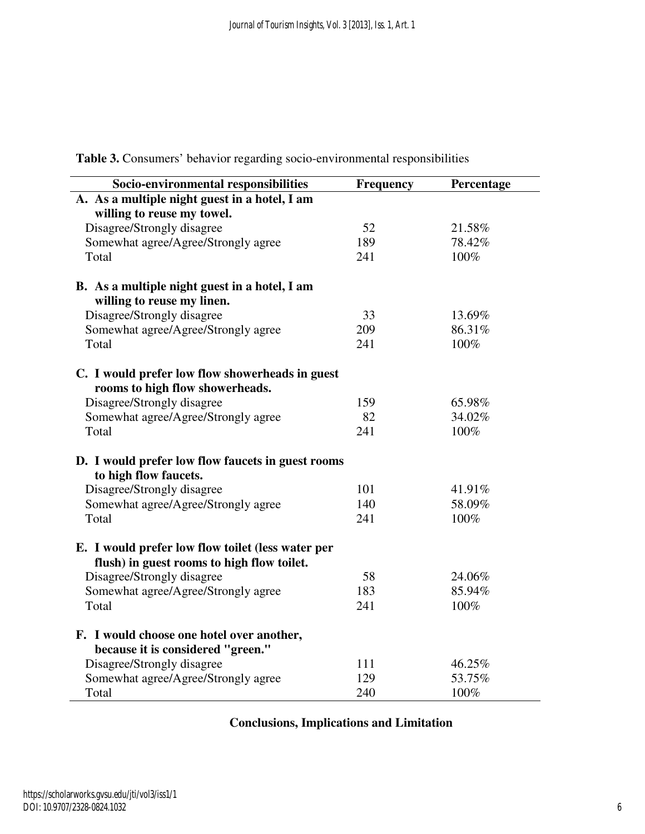| Socio-environmental responsibilities              | <b>Frequency</b> | Percentage |
|---------------------------------------------------|------------------|------------|
| A. As a multiple night guest in a hotel, I am     |                  |            |
| willing to reuse my towel.                        |                  |            |
| Disagree/Strongly disagree                        | 52               | 21.58%     |
| Somewhat agree/Agree/Strongly agree               | 189              | 78.42%     |
| Total                                             | 241              | 100%       |
| B. As a multiple night guest in a hotel, I am     |                  |            |
| willing to reuse my linen.                        |                  |            |
| Disagree/Strongly disagree                        | 33               | 13.69%     |
| Somewhat agree/Agree/Strongly agree               | 209              | 86.31%     |
| Total                                             | 241              | 100%       |
| C. I would prefer low flow showerheads in guest   |                  |            |
| rooms to high flow showerheads.                   |                  |            |
| Disagree/Strongly disagree                        | 159              | 65.98%     |
| Somewhat agree/Agree/Strongly agree               | 82               | 34.02%     |
| Total                                             | 241              | 100%       |
| D. I would prefer low flow faucets in guest rooms |                  |            |
| to high flow faucets.                             |                  |            |
| Disagree/Strongly disagree                        | 101              | 41.91%     |
| Somewhat agree/Agree/Strongly agree               | 140              | 58.09%     |
| Total                                             | 241              | 100%       |
| E. I would prefer low flow toilet (less water per |                  |            |
| flush) in guest rooms to high flow toilet.        |                  |            |
| Disagree/Strongly disagree                        | 58               | 24.06%     |
| Somewhat agree/Agree/Strongly agree               | 183              | 85.94%     |
| Total                                             | 241              | 100%       |
| F. I would choose one hotel over another,         |                  |            |
| because it is considered "green."                 |                  |            |
| Disagree/Strongly disagree                        | 111              | 46.25%     |
| Somewhat agree/Agree/Strongly agree               | 129              | 53.75%     |
| Total                                             | 240              | 100%       |

**Table 3.** Consumers' behavior regarding socio-environmental responsibilities

## **Conclusions, Implications and Limitation**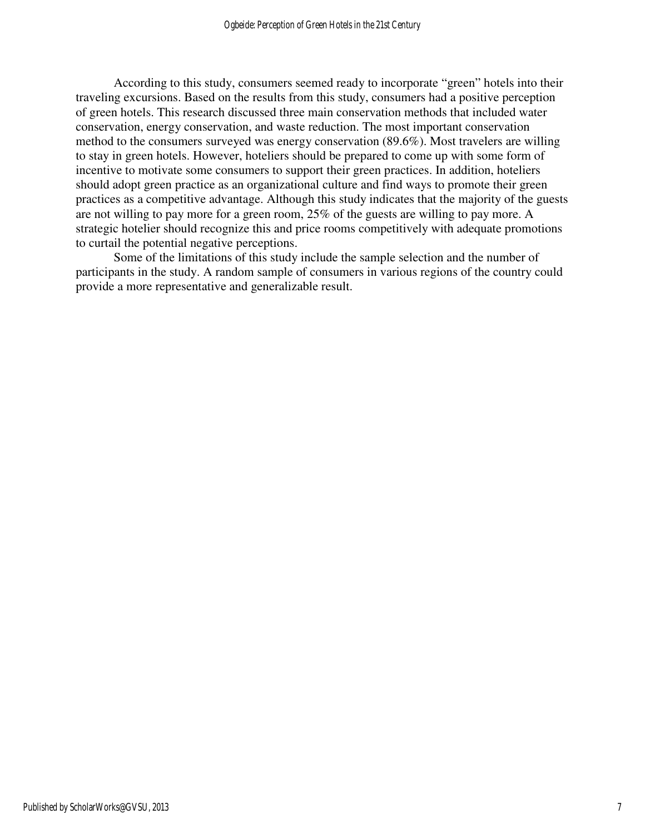According to this study, consumers seemed ready to incorporate "green" hotels into their traveling excursions. Based on the results from this study, consumers had a positive perception of green hotels. This research discussed three main conservation methods that included water conservation, energy conservation, and waste reduction. The most important conservation method to the consumers surveyed was energy conservation (89.6%). Most travelers are willing to stay in green hotels. However, hoteliers should be prepared to come up with some form of incentive to motivate some consumers to support their green practices. In addition, hoteliers should adopt green practice as an organizational culture and find ways to promote their green practices as a competitive advantage. Although this study indicates that the majority of the guests are not willing to pay more for a green room, 25% of the guests are willing to pay more. A strategic hotelier should recognize this and price rooms competitively with adequate promotions to curtail the potential negative perceptions.

Some of the limitations of this study include the sample selection and the number of participants in the study. A random sample of consumers in various regions of the country could provide a more representative and generalizable result.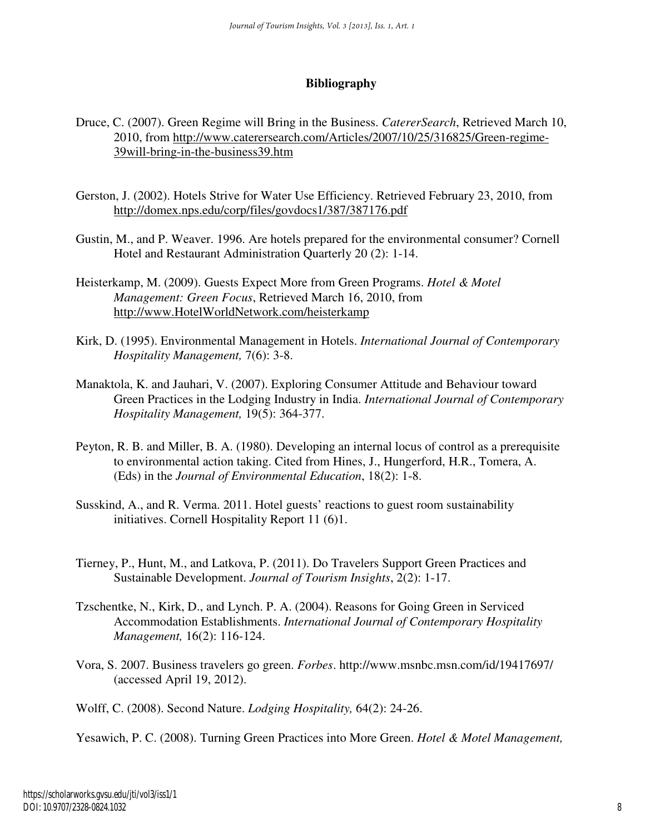## **Bibliography**

- Druce, C. (2007). Green Regime will Bring in the Business. *CatererSearch*, Retrieved March 10, 2010, from http://www.caterersearch.com/Articles/2007/10/25/316825/Green-regime- 39will-bring-in-the-business39.htm
- Gerston, J. (2002). Hotels Strive for Water Use Efficiency. Retrieved February 23, 2010, from http://domex.nps.edu/corp/files/govdocs1/387/387176.pdf
- Gustin, M., and P. Weaver. 1996. Are hotels prepared for the environmental consumer? Cornell Hotel and Restaurant Administration Quarterly 20 (2): 1-14.
- Heisterkamp, M. (2009). Guests Expect More from Green Programs. *Hotel & Motel Management: Green Focus*, Retrieved March 16, 2010, from http://www.HotelWorldNetwork.com/heisterkamp
- Kirk, D. (1995). Environmental Management in Hotels. *International Journal of Contemporary Hospitality Management,* 7(6): 3-8.
- Manaktola, K. and Jauhari, V. (2007). Exploring Consumer Attitude and Behaviour toward Green Practices in the Lodging Industry in India. *International Journal of Contemporary Hospitality Management,* 19(5): 364-377.
- Peyton, R. B. and Miller, B. A. (1980). Developing an internal locus of control as a prerequisite to environmental action taking. Cited from Hines, J., Hungerford, H.R., Tomera, A. (Eds) in the *Journal of Environmental Education*, 18(2): 1-8.
- Susskind, A., and R. Verma. 2011. Hotel guests' reactions to guest room sustainability initiatives. Cornell Hospitality Report 11 (6)1.
- Tierney, P., Hunt, M., and Latkova, P. (2011). Do Travelers Support Green Practices and Sustainable Development. *Journal of Tourism Insights*, 2(2): 1-17.
- Tzschentke, N., Kirk, D., and Lynch. P. A. (2004). Reasons for Going Green in Serviced Accommodation Establishments. *International Journal of Contemporary Hospitality Management,* 16(2): 116-124.
- Vora, S. 2007. Business travelers go green. *Forbes*. http://www.msnbc.msn.com/id/19417697/ (accessed April 19, 2012).
- Wolff, C. (2008). Second Nature. *Lodging Hospitality,* 64(2): 24-26.

Yesawich, P. C. (2008). Turning Green Practices into More Green. *Hotel & Motel Management,*